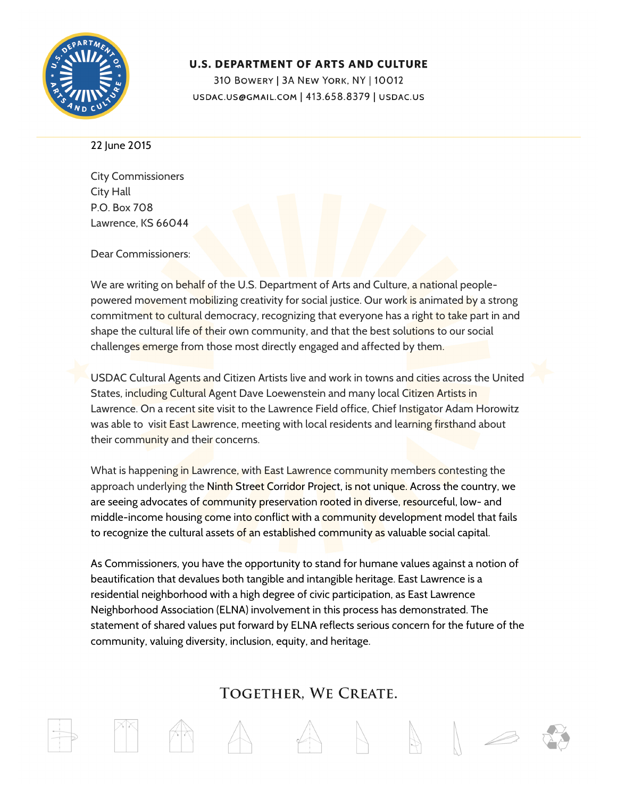

## **U.S. DEPARTMENT OF ARTS AND CULTURE**

310 BOWERY | 3A NEW YORK, NY | 10012 USDAC.US@GMAIL.COM | 413.658.8379 | USDAC.US

22 June 2015

City Commissioners City Hall P.O. Box 708 Lawrence, KS 66044

Dear Commissioners:

We are writing on behalf of the U.S. Department of Arts and Culture, a national peoplepowered movement mobilizing creativity for social justice. Our work is animated by a strong commitment to cultural democracy, recognizing that everyone has a right to take part in and shape the cultural life of their own community, and that the best solutions to our social challenges emerge from those most directly engaged and affected by them.

USDAC Cultural Agents and Citizen Artists live and work in towns and cities across the United States, including Cultural Agent Dave Loewenstein and many local Citizen Artists in Lawrence. On a recent site visit to the Lawrence Field office, Chief Instigator Adam Horowitz was able to visit East Lawrence, meeting with local residents and learning firsthand about their community and their concerns.

What is happening in Lawrence, with East Lawrence community members contesting the approach underlying the Ninth Street Corridor Project, is not unique. Across the country, we are seeing advocates of community preservation rooted in diverse, resourceful, low- and middle-income housing come into conflict with a community development model that fails to recognize the cultural assets of an established community as valuable social capital.

As Commissioners, you have the opportunity to stand for humane values against a notion of beautification that devalues both tangible and intangible heritage. East Lawrence is a residential neighborhood with a high degree of civic participation, as East Lawrence Neighborhood Association (ELNA) involvement in this process has demonstrated. The statement of shared values put forward by ELNA reflects serious concern for the future of the community, valuing diversity, inclusion, equity, and heritage.

## TOGETHER. WE CREATE.